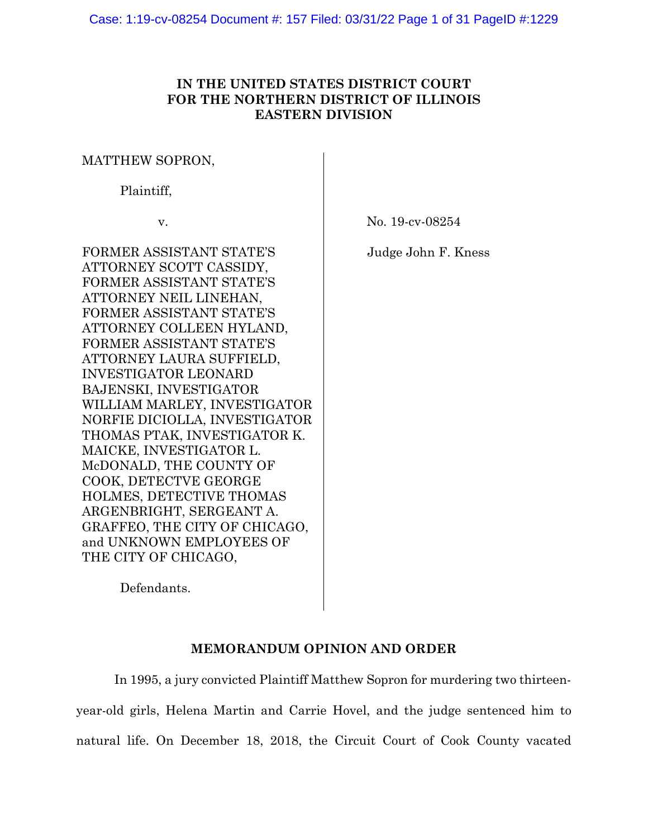# **IN THE UNITED STATES DISTRICT COURT FOR THE NORTHERN DISTRICT OF ILLINOIS EASTERN DIVISION**

## MATTHEW SOPRON,

Plaintiff,

v.

No. 19-cv-08254

Judge John F. Kness

FORMER ASSISTANT STATE'S ATTORNEY SCOTT CASSIDY, FORMER ASSISTANT STATE'S ATTORNEY NEIL LINEHAN, FORMER ASSISTANT STATE'S ATTORNEY COLLEEN HYLAND, FORMER ASSISTANT STATE'S ATTORNEY LAURA SUFFIELD, INVESTIGATOR LEONARD BAJENSKI, INVESTIGATOR WILLIAM MARLEY, INVESTIGATOR NORFIE DICIOLLA, INVESTIGATOR THOMAS PTAK, INVESTIGATOR K. MAICKE, INVESTIGATOR L. McDONALD, THE COUNTY OF COOK, DETECTVE GEORGE HOLMES, DETECTIVE THOMAS ARGENBRIGHT, SERGEANT A. GRAFFEO, THE CITY OF CHICAGO, and UNKNOWN EMPLOYEES OF THE CITY OF CHICAGO,

Defendants.

# **MEMORANDUM OPINION AND ORDER**

In 1995, a jury convicted Plaintiff Matthew Sopron for murdering two thirteenyear-old girls, Helena Martin and Carrie Hovel, and the judge sentenced him to natural life. On December 18, 2018, the Circuit Court of Cook County vacated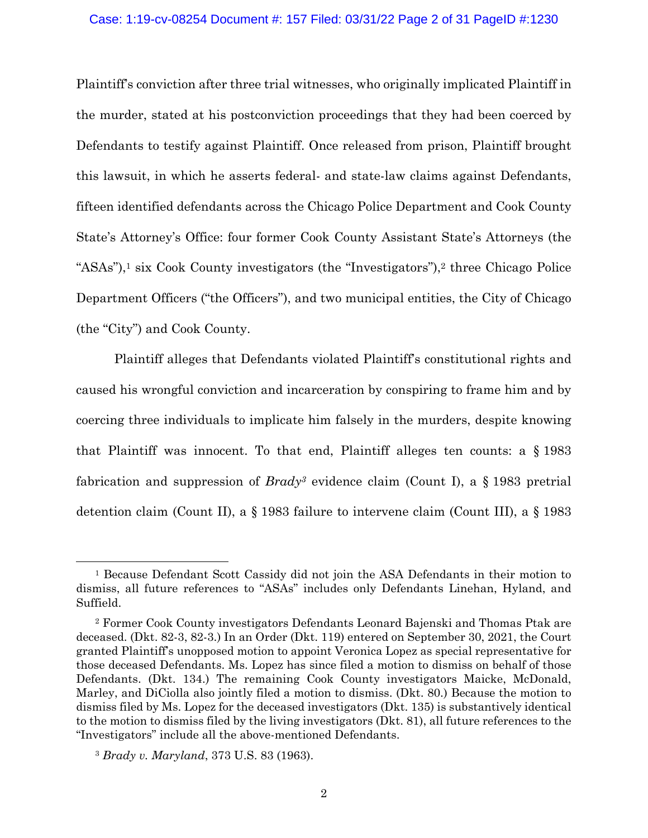#### Case: 1:19-cv-08254 Document #: 157 Filed: 03/31/22 Page 2 of 31 PageID #:1230

Plaintiff's conviction after three trial witnesses, who originally implicated Plaintiff in the murder, stated at his postconviction proceedings that they had been coerced by Defendants to testify against Plaintiff. Once released from prison, Plaintiff brought this lawsuit, in which he asserts federal- and state-law claims against Defendants, fifteen identified defendants across the Chicago Police Department and Cook County State's Attorney's Office: four former Cook County Assistant State's Attorneys (the "ASAs"),<sup>1</sup> six Cook County investigators (the "Investigators"),<sup>2</sup> three Chicago Police Department Officers ("the Officers"), and two municipal entities, the City of Chicago (the "City") and Cook County.

Plaintiff alleges that Defendants violated Plaintiff's constitutional rights and caused his wrongful conviction and incarceration by conspiring to frame him and by coercing three individuals to implicate him falsely in the murders, despite knowing that Plaintiff was innocent. To that end, Plaintiff alleges ten counts: a § 1983 fabrication and suppression of *Brady3* evidence claim (Count I), a § 1983 pretrial detention claim (Count II), a § 1983 failure to intervene claim (Count III), a § 1983

<sup>1</sup> Because Defendant Scott Cassidy did not join the ASA Defendants in their motion to dismiss, all future references to "ASAs" includes only Defendants Linehan, Hyland, and Suffield.

<sup>2</sup> Former Cook County investigators Defendants Leonard Bajenski and Thomas Ptak are deceased. (Dkt. 82-3, 82-3.) In an Order (Dkt. 119) entered on September 30, 2021, the Court granted Plaintiff's unopposed motion to appoint Veronica Lopez as special representative for those deceased Defendants. Ms. Lopez has since filed a motion to dismiss on behalf of those Defendants. (Dkt. 134.) The remaining Cook County investigators Maicke, McDonald, Marley, and DiCiolla also jointly filed a motion to dismiss. (Dkt. 80.) Because the motion to dismiss filed by Ms. Lopez for the deceased investigators (Dkt. 135) is substantively identical to the motion to dismiss filed by the living investigators (Dkt. 81), all future references to the "Investigators" include all the above-mentioned Defendants.

<sup>3</sup> *Brady v. Maryland*, 373 U.S. 83 (1963).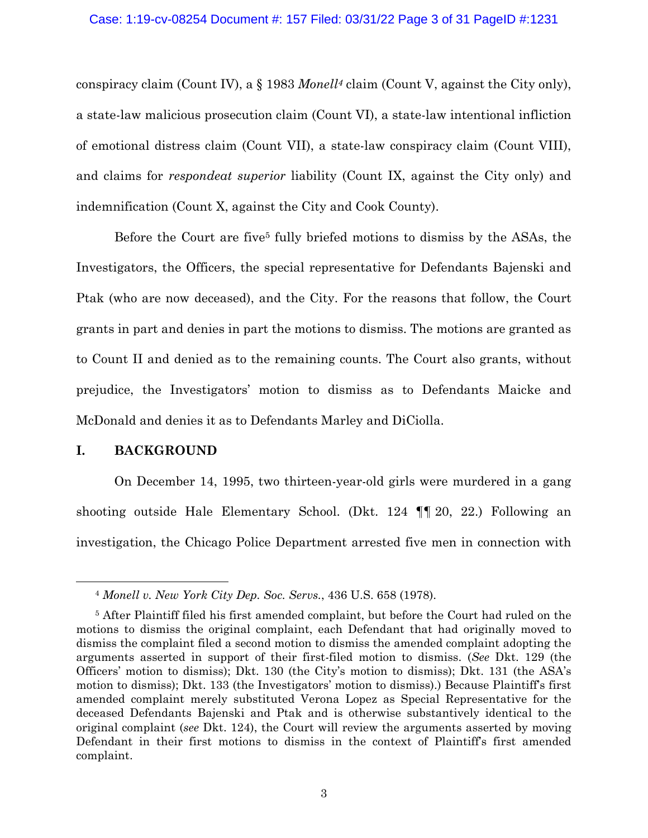conspiracy claim (Count IV), a § 1983 *Monell4* claim (Count V, against the City only), a state-law malicious prosecution claim (Count VI), a state-law intentional infliction of emotional distress claim (Count VII), a state-law conspiracy claim (Count VIII), and claims for *respondeat superior* liability (Count IX, against the City only) and indemnification (Count X, against the City and Cook County).

Before the Court are five<sup>5</sup> fully briefed motions to dismiss by the ASAs, the Investigators, the Officers, the special representative for Defendants Bajenski and Ptak (who are now deceased), and the City. For the reasons that follow, the Court grants in part and denies in part the motions to dismiss. The motions are granted as to Count II and denied as to the remaining counts. The Court also grants, without prejudice, the Investigators' motion to dismiss as to Defendants Maicke and McDonald and denies it as to Defendants Marley and DiCiolla.

### **I. BACKGROUND**

On December 14, 1995, two thirteen-year-old girls were murdered in a gang shooting outside Hale Elementary School. (Dkt. 124 ¶¶ 20, 22.) Following an investigation, the Chicago Police Department arrested five men in connection with

<sup>4</sup> *Monell v. New York City Dep. Soc. Servs.*, 436 U.S. 658 (1978).

<sup>5</sup> After Plaintiff filed his first amended complaint, but before the Court had ruled on the motions to dismiss the original complaint, each Defendant that had originally moved to dismiss the complaint filed a second motion to dismiss the amended complaint adopting the arguments asserted in support of their first-filed motion to dismiss. (*See* Dkt. 129 (the Officers' motion to dismiss); Dkt. 130 (the City's motion to dismiss); Dkt. 131 (the ASA's motion to dismiss); Dkt. 133 (the Investigators' motion to dismiss).) Because Plaintiff's first amended complaint merely substituted Verona Lopez as Special Representative for the deceased Defendants Bajenski and Ptak and is otherwise substantively identical to the original complaint (*see* Dkt. 124), the Court will review the arguments asserted by moving Defendant in their first motions to dismiss in the context of Plaintiff's first amended complaint.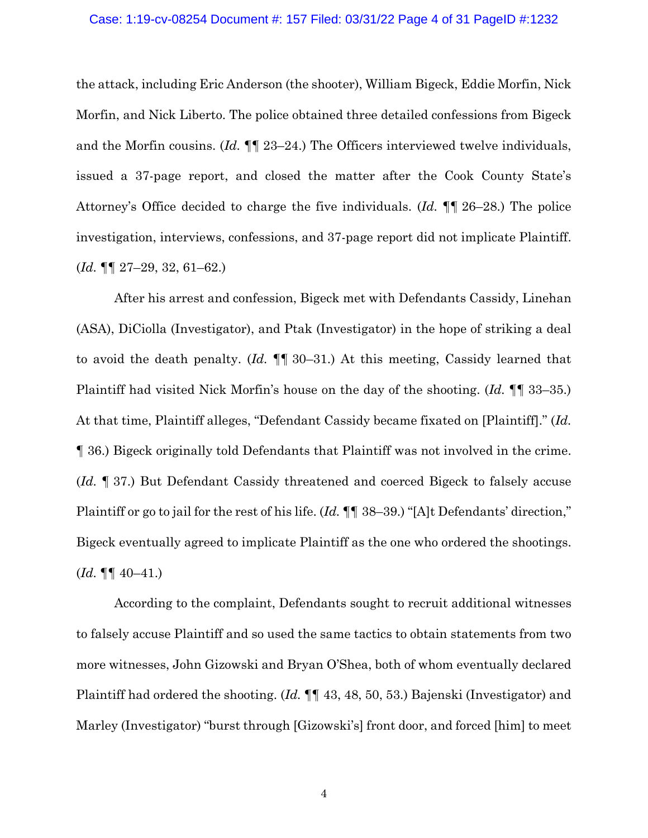#### Case: 1:19-cv-08254 Document #: 157 Filed: 03/31/22 Page 4 of 31 PageID #:1232

the attack, including Eric Anderson (the shooter), William Bigeck, Eddie Morfin, Nick Morfin, and Nick Liberto. The police obtained three detailed confessions from Bigeck and the Morfin cousins. (*Id.* ¶¶ 23–24.) The Officers interviewed twelve individuals, issued a 37-page report, and closed the matter after the Cook County State's Attorney's Office decided to charge the five individuals. (*Id.* ¶¶ 26–28.) The police investigation, interviews, confessions, and 37-page report did not implicate Plaintiff. (*Id.* ¶¶ 27–29, 32, 61–62.)

After his arrest and confession, Bigeck met with Defendants Cassidy, Linehan (ASA), DiCiolla (Investigator), and Ptak (Investigator) in the hope of striking a deal to avoid the death penalty. (*Id.* ¶¶ 30–31.) At this meeting, Cassidy learned that Plaintiff had visited Nick Morfin's house on the day of the shooting. (*Id.* ¶¶ 33–35.) At that time, Plaintiff alleges, "Defendant Cassidy became fixated on [Plaintiff]." (*Id.* ¶ 36.) Bigeck originally told Defendants that Plaintiff was not involved in the crime. (*Id.* ¶ 37.) But Defendant Cassidy threatened and coerced Bigeck to falsely accuse Plaintiff or go to jail for the rest of his life. (*Id.* ¶¶ 38–39.) "[A]t Defendants' direction," Bigeck eventually agreed to implicate Plaintiff as the one who ordered the shootings.  $(Id. \P\P \ 40-41.)$ 

According to the complaint, Defendants sought to recruit additional witnesses to falsely accuse Plaintiff and so used the same tactics to obtain statements from two more witnesses, John Gizowski and Bryan O'Shea, both of whom eventually declared Plaintiff had ordered the shooting. (*Id.* ¶¶ 43, 48, 50, 53.) Bajenski (Investigator) and Marley (Investigator) "burst through [Gizowski's] front door, and forced [him] to meet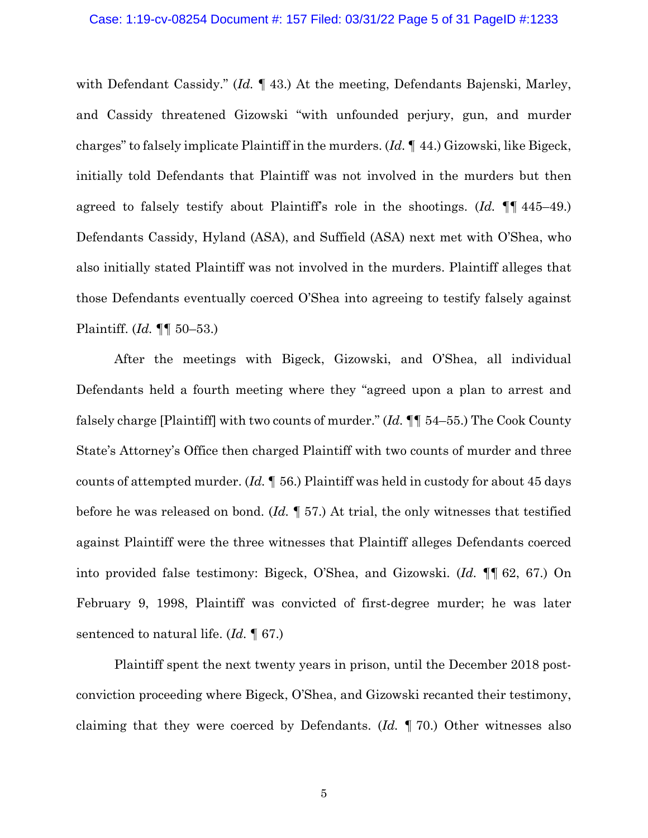#### Case: 1:19-cv-08254 Document #: 157 Filed: 03/31/22 Page 5 of 31 PageID #:1233

with Defendant Cassidy." (*Id.* ¶ 43.) At the meeting, Defendants Bajenski, Marley, and Cassidy threatened Gizowski "with unfounded perjury, gun, and murder charges" to falsely implicate Plaintiff in the murders. (*Id.* ¶ 44.) Gizowski, like Bigeck, initially told Defendants that Plaintiff was not involved in the murders but then agreed to falsely testify about Plaintiff's role in the shootings. (*Id.* ¶¶ 445–49.) Defendants Cassidy, Hyland (ASA), and Suffield (ASA) next met with O'Shea, who also initially stated Plaintiff was not involved in the murders. Plaintiff alleges that those Defendants eventually coerced O'Shea into agreeing to testify falsely against Plaintiff. (*Id.* ¶¶ 50–53.)

After the meetings with Bigeck, Gizowski, and O'Shea, all individual Defendants held a fourth meeting where they "agreed upon a plan to arrest and falsely charge [Plaintiff] with two counts of murder." (*Id.* ¶¶ 54–55.) The Cook County State's Attorney's Office then charged Plaintiff with two counts of murder and three counts of attempted murder. (*Id.* ¶ 56.) Plaintiff was held in custody for about 45 days before he was released on bond. (*Id.* ¶ 57.) At trial, the only witnesses that testified against Plaintiff were the three witnesses that Plaintiff alleges Defendants coerced into provided false testimony: Bigeck, O'Shea, and Gizowski. (*Id.* ¶¶ 62, 67.) On February 9, 1998, Plaintiff was convicted of first-degree murder; he was later sentenced to natural life. (*Id.* ¶ 67.)

Plaintiff spent the next twenty years in prison, until the December 2018 postconviction proceeding where Bigeck, O'Shea, and Gizowski recanted their testimony, claiming that they were coerced by Defendants. (*Id.* ¶ 70.) Other witnesses also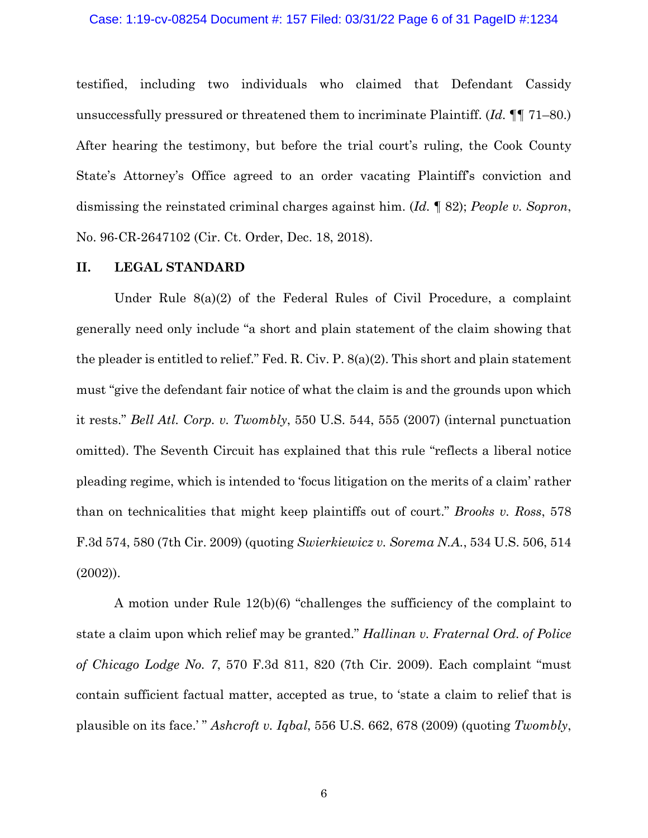#### Case: 1:19-cv-08254 Document #: 157 Filed: 03/31/22 Page 6 of 31 PageID #:1234

testified, including two individuals who claimed that Defendant Cassidy unsuccessfully pressured or threatened them to incriminate Plaintiff. (*Id.* ¶¶ 71–80.) After hearing the testimony, but before the trial court's ruling, the Cook County State's Attorney's Office agreed to an order vacating Plaintiff's conviction and dismissing the reinstated criminal charges against him. (*Id.* ¶ 82); *People v. Sopron*, No. 96-CR-2647102 (Cir. Ct. Order, Dec. 18, 2018).

### **II. LEGAL STANDARD**

Under Rule 8(a)(2) of the Federal Rules of Civil Procedure, a complaint generally need only include "a short and plain statement of the claim showing that the pleader is entitled to relief." Fed. R. Civ. P. 8(a)(2). This short and plain statement must "give the defendant fair notice of what the claim is and the grounds upon which it rests." *Bell Atl. Corp. v. Twombly*, 550 U.S. 544, 555 (2007) (internal punctuation omitted). The Seventh Circuit has explained that this rule "reflects a liberal notice pleading regime, which is intended to 'focus litigation on the merits of a claim' rather than on technicalities that might keep plaintiffs out of court." *Brooks v. Ross*, 578 F.3d 574, 580 (7th Cir. 2009) (quoting *Swierkiewicz v. Sorema N.A.*, 534 U.S. 506, 514 (2002)).

A motion under Rule 12(b)(6) "challenges the sufficiency of the complaint to state a claim upon which relief may be granted." *Hallinan v. Fraternal Ord. of Police of Chicago Lodge No. 7*, 570 F.3d 811, 820 (7th Cir. 2009). Each complaint "must contain sufficient factual matter, accepted as true, to 'state a claim to relief that is plausible on its face.' " *Ashcroft v. Iqbal*, 556 U.S. 662, 678 (2009) (quoting *Twombly*,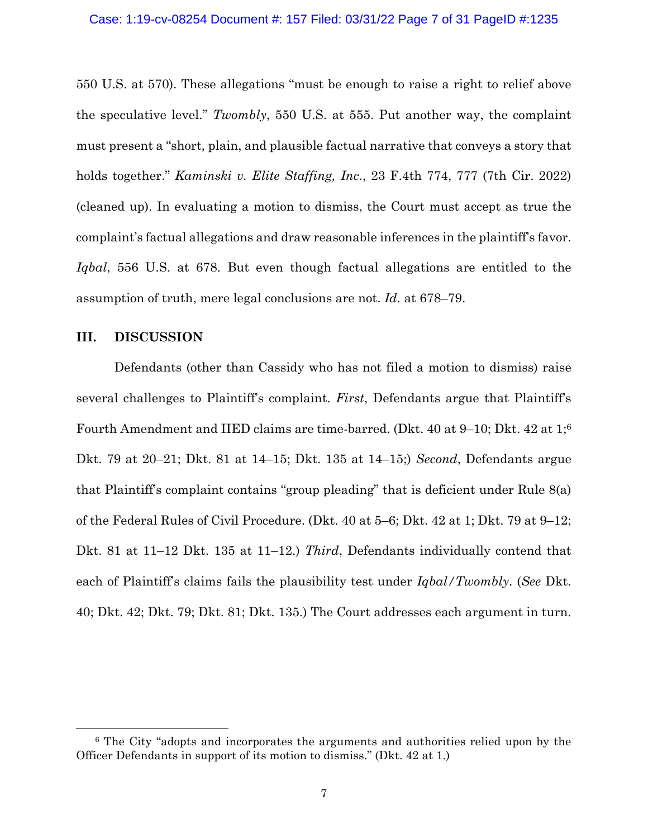550 U.S. at 570). These allegations "must be enough to raise a right to relief above the speculative level." *Twombly*, 550 U.S. at 555. Put another way, the complaint must present a "short, plain, and plausible factual narrative that conveys a story that holds together." *Kaminski v. Elite Staffing, Inc.*, 23 F.4th 774, 777 (7th Cir. 2022) (cleaned up). In evaluating a motion to dismiss, the Court must accept as true the complaint's factual allegations and draw reasonable inferences in the plaintiff's favor. *Iqbal*, 556 U.S. at 678. But even though factual allegations are entitled to the assumption of truth, mere legal conclusions are not. *Id.* at 678–79.

## **III. DISCUSSION**

Defendants (other than Cassidy who has not filed a motion to dismiss) raise several challenges to Plaintiff's complaint. *First*, Defendants argue that Plaintiff's Fourth Amendment and IIED claims are time-barred. (Dkt. 40 at 9–10; Dkt. 42 at 1;6 Dkt. 79 at 20–21; Dkt. 81 at 14–15; Dkt. 135 at 14–15;) *Second*, Defendants argue that Plaintiff's complaint contains "group pleading" that is deficient under Rule 8(a) of the Federal Rules of Civil Procedure. (Dkt. 40 at 5–6; Dkt. 42 at 1; Dkt. 79 at 9–12; Dkt. 81 at 11–12 Dkt. 135 at 11–12.) *Third*, Defendants individually contend that each of Plaintiff's claims fails the plausibility test under *Iqbal/Twombly*. (*See* Dkt. 40; Dkt. 42; Dkt. 79; Dkt. 81; Dkt. 135.) The Court addresses each argument in turn.

<sup>6</sup> The City "adopts and incorporates the arguments and authorities relied upon by the Officer Defendants in support of its motion to dismiss." (Dkt. 42 at 1.)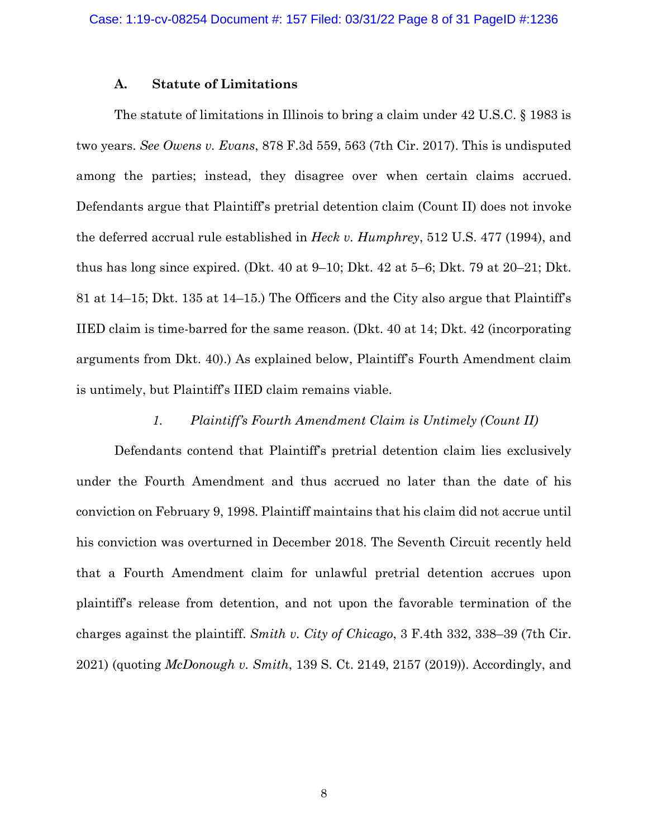### **A. Statute of Limitations**

The statute of limitations in Illinois to bring a claim under 42 U.S.C. § 1983 is two years. *See Owens v. Evans*, 878 F.3d 559, 563 (7th Cir. 2017). This is undisputed among the parties; instead, they disagree over when certain claims accrued. Defendants argue that Plaintiff's pretrial detention claim (Count II) does not invoke the deferred accrual rule established in *Heck v. Humphrey*, 512 U.S. 477 (1994), and thus has long since expired. (Dkt. 40 at 9–10; Dkt. 42 at 5–6; Dkt. 79 at 20–21; Dkt. 81 at 14–15; Dkt. 135 at 14–15.) The Officers and the City also argue that Plaintiff's IIED claim is time-barred for the same reason. (Dkt. 40 at 14; Dkt. 42 (incorporating arguments from Dkt. 40).) As explained below, Plaintiff's Fourth Amendment claim is untimely, but Plaintiff's IIED claim remains viable.

## *1. Plaintiff's Fourth Amendment Claim is Untimely (Count II)*

Defendants contend that Plaintiff's pretrial detention claim lies exclusively under the Fourth Amendment and thus accrued no later than the date of his conviction on February 9, 1998. Plaintiff maintains that his claim did not accrue until his conviction was overturned in December 2018. The Seventh Circuit recently held that a Fourth Amendment claim for unlawful pretrial detention accrues upon plaintiff's release from detention, and not upon the favorable termination of the charges against the plaintiff. *Smith v. City of Chicago*, 3 F.4th 332, 338–39 (7th Cir. 2021) (quoting *McDonough v. Smith*, 139 S. Ct. 2149, 2157 (2019)). Accordingly, and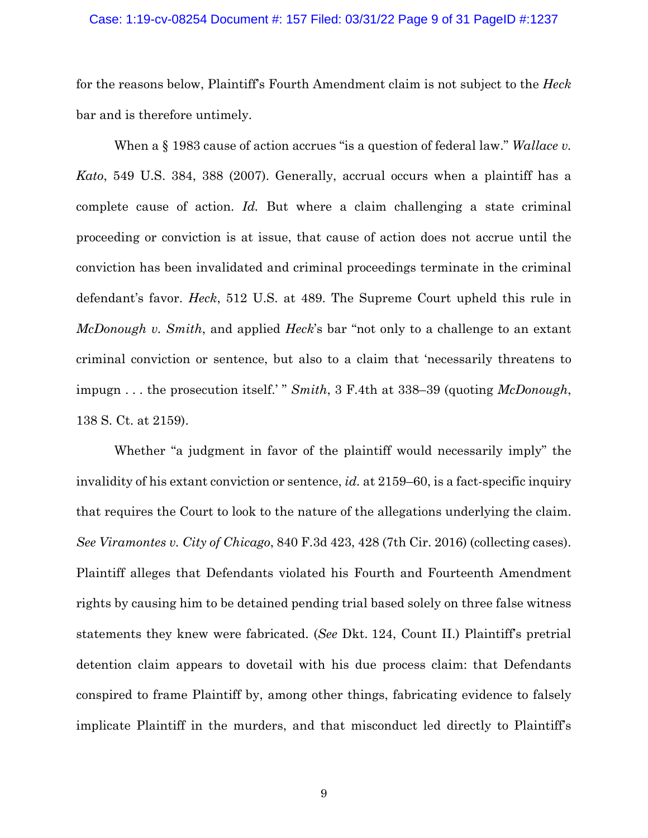#### Case: 1:19-cv-08254 Document #: 157 Filed: 03/31/22 Page 9 of 31 PageID #:1237

for the reasons below, Plaintiff's Fourth Amendment claim is not subject to the *Heck* bar and is therefore untimely.

When a § 1983 cause of action accrues "is a question of federal law." *Wallace v. Kato*, 549 U.S. 384, 388 (2007). Generally, accrual occurs when a plaintiff has a complete cause of action. *Id.* But where a claim challenging a state criminal proceeding or conviction is at issue, that cause of action does not accrue until the conviction has been invalidated and criminal proceedings terminate in the criminal defendant's favor. *Heck*, 512 U.S. at 489. The Supreme Court upheld this rule in *McDonough v. Smith*, and applied *Heck*'s bar "not only to a challenge to an extant criminal conviction or sentence, but also to a claim that 'necessarily threatens to impugn . . . the prosecution itself.' " *Smith*, 3 F.4th at 338–39 (quoting *McDonough*, 138 S. Ct. at 2159).

Whether "a judgment in favor of the plaintiff would necessarily imply" the invalidity of his extant conviction or sentence, *id.* at 2159–60, is a fact-specific inquiry that requires the Court to look to the nature of the allegations underlying the claim. *See Viramontes v. City of Chicago*, 840 F.3d 423, 428 (7th Cir. 2016) (collecting cases). Plaintiff alleges that Defendants violated his Fourth and Fourteenth Amendment rights by causing him to be detained pending trial based solely on three false witness statements they knew were fabricated. (*See* Dkt. 124, Count II.) Plaintiff's pretrial detention claim appears to dovetail with his due process claim: that Defendants conspired to frame Plaintiff by, among other things, fabricating evidence to falsely implicate Plaintiff in the murders, and that misconduct led directly to Plaintiff's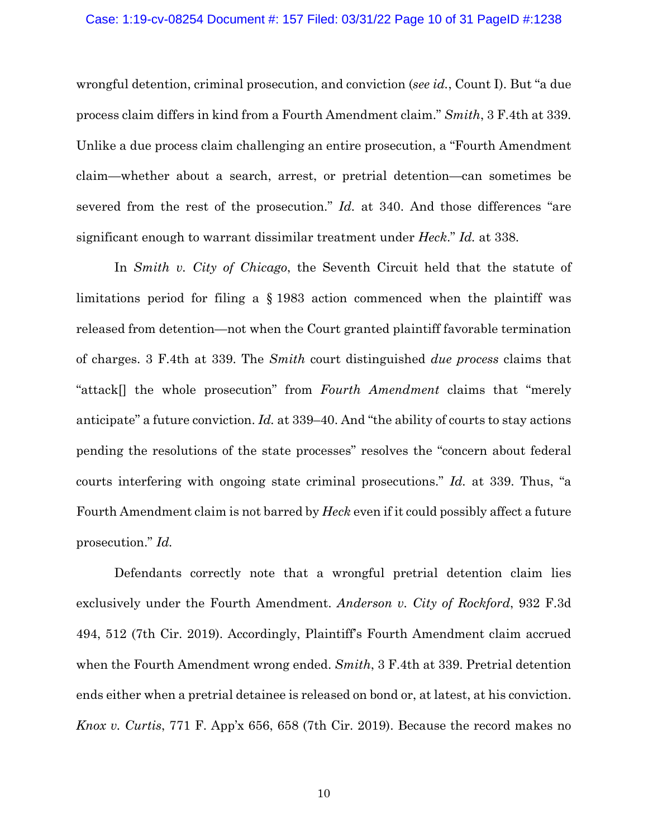#### Case: 1:19-cv-08254 Document #: 157 Filed: 03/31/22 Page 10 of 31 PageID #:1238

wrongful detention, criminal prosecution, and conviction (*see id.*, Count I). But "a due process claim differs in kind from a Fourth Amendment claim." *Smith*, 3 F.4th at 339. Unlike a due process claim challenging an entire prosecution, a "Fourth Amendment claim—whether about a search, arrest, or pretrial detention—can sometimes be severed from the rest of the prosecution." *Id.* at 340. And those differences "are significant enough to warrant dissimilar treatment under *Heck*." *Id.* at 338.

In *Smith v. City of Chicago*, the Seventh Circuit held that the statute of limitations period for filing a § 1983 action commenced when the plaintiff was released from detention—not when the Court granted plaintiff favorable termination of charges. 3 F.4th at 339. The *Smith* court distinguished *due process* claims that "attack[] the whole prosecution" from *Fourth Amendment* claims that "merely anticipate" a future conviction. *Id.* at 339–40. And "the ability of courts to stay actions pending the resolutions of the state processes" resolves the "concern about federal courts interfering with ongoing state criminal prosecutions." *Id.* at 339. Thus, "a Fourth Amendment claim is not barred by *Heck* even if it could possibly affect a future prosecution." *Id.*

Defendants correctly note that a wrongful pretrial detention claim lies exclusively under the Fourth Amendment. *Anderson v. City of Rockford*, 932 F.3d 494, 512 (7th Cir. 2019). Accordingly, Plaintiff's Fourth Amendment claim accrued when the Fourth Amendment wrong ended. *Smith*, 3 F.4th at 339. Pretrial detention ends either when a pretrial detainee is released on bond or, at latest, at his conviction. *Knox v. Curtis*, 771 F. App'x 656, 658 (7th Cir. 2019). Because the record makes no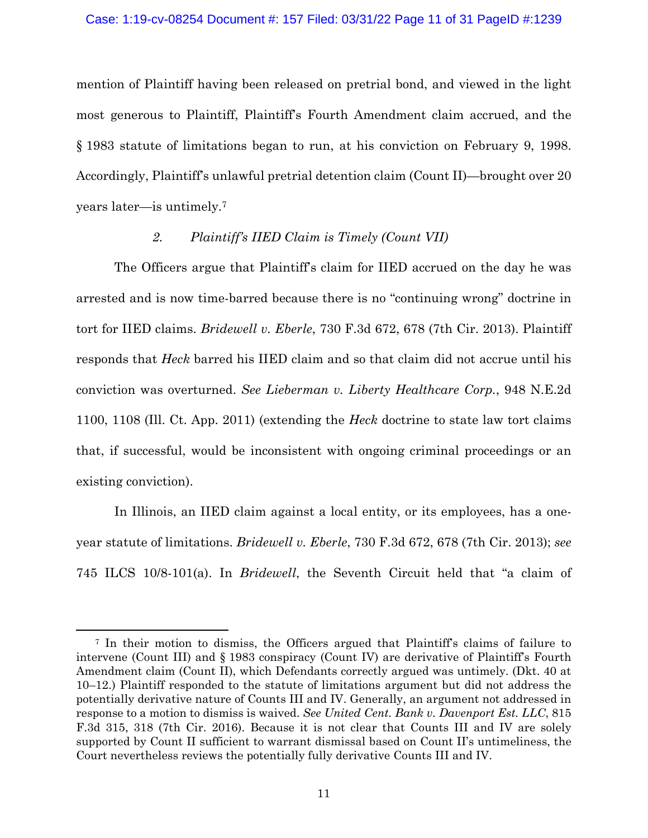mention of Plaintiff having been released on pretrial bond, and viewed in the light most generous to Plaintiff, Plaintiff's Fourth Amendment claim accrued, and the § 1983 statute of limitations began to run, at his conviction on February 9, 1998. Accordingly, Plaintiff's unlawful pretrial detention claim (Count II)—brought over 20 years later—is untimely.7

## *2. Plaintiff's IIED Claim is Timely (Count VII)*

The Officers argue that Plaintiff's claim for IIED accrued on the day he was arrested and is now time-barred because there is no "continuing wrong" doctrine in tort for IIED claims. *Bridewell v. Eberle*, 730 F.3d 672, 678 (7th Cir. 2013). Plaintiff responds that *Heck* barred his IIED claim and so that claim did not accrue until his conviction was overturned. *See Lieberman v. Liberty Healthcare Corp.*, 948 N.E.2d 1100, 1108 (Ill. Ct. App. 2011) (extending the *Heck* doctrine to state law tort claims that, if successful, would be inconsistent with ongoing criminal proceedings or an existing conviction).

In Illinois, an IIED claim against a local entity, or its employees, has a oneyear statute of limitations. *Bridewell v. Eberle*, 730 F.3d 672, 678 (7th Cir. 2013); *see* 745 ILCS 10/8-101(a). In *Bridewell*, the Seventh Circuit held that "a claim of

<sup>7</sup> In their motion to dismiss, the Officers argued that Plaintiff's claims of failure to intervene (Count III) and § 1983 conspiracy (Count IV) are derivative of Plaintiff's Fourth Amendment claim (Count II), which Defendants correctly argued was untimely. (Dkt. 40 at 10–12.) Plaintiff responded to the statute of limitations argument but did not address the potentially derivative nature of Counts III and IV. Generally, an argument not addressed in response to a motion to dismiss is waived. *See United Cent. Bank v. Davenport Est. LLC*, 815 F.3d 315, 318 (7th Cir. 2016). Because it is not clear that Counts III and IV are solely supported by Count II sufficient to warrant dismissal based on Count II's untimeliness, the Court nevertheless reviews the potentially fully derivative Counts III and IV.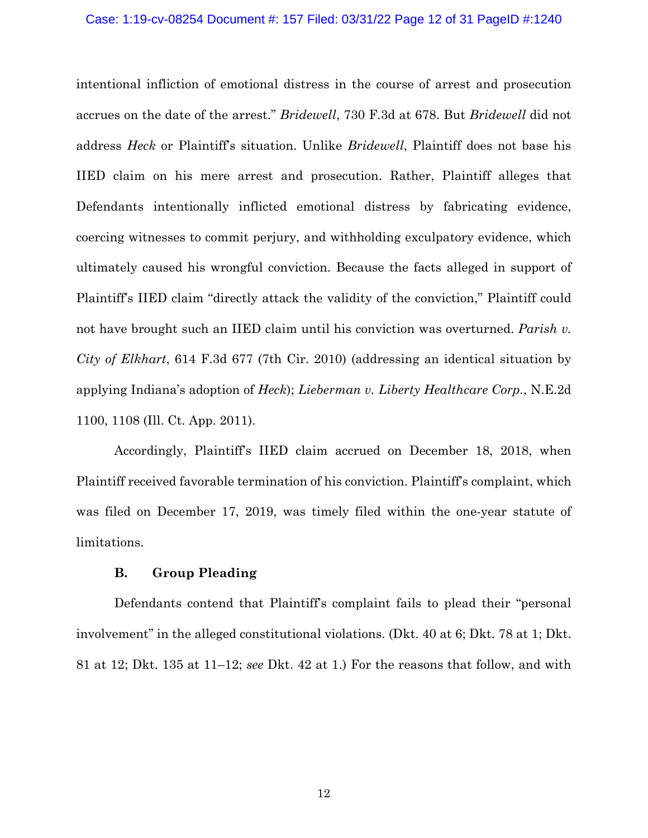#### Case: 1:19-cv-08254 Document #: 157 Filed: 03/31/22 Page 12 of 31 PageID #:1240

intentional infliction of emotional distress in the course of arrest and prosecution accrues on the date of the arrest." *Bridewell*, 730 F.3d at 678. But *Bridewell* did not address *Heck* or Plaintiff's situation. Unlike *Bridewell*, Plaintiff does not base his IIED claim on his mere arrest and prosecution. Rather, Plaintiff alleges that Defendants intentionally inflicted emotional distress by fabricating evidence, coercing witnesses to commit perjury, and withholding exculpatory evidence, which ultimately caused his wrongful conviction. Because the facts alleged in support of Plaintiff's IIED claim "directly attack the validity of the conviction," Plaintiff could not have brought such an IIED claim until his conviction was overturned. *Parish v. City of Elkhart*, 614 F.3d 677 (7th Cir. 2010) (addressing an identical situation by applying Indiana's adoption of *Heck*); *Lieberman v. Liberty Healthcare Corp.*, N.E.2d 1100, 1108 (Ill. Ct. App. 2011).

Accordingly, Plaintiff's IIED claim accrued on December 18, 2018, when Plaintiff received favorable termination of his conviction. Plaintiff's complaint, which was filed on December 17, 2019, was timely filed within the one-year statute of limitations.

### **B. Group Pleading**

Defendants contend that Plaintiff's complaint fails to plead their "personal involvement" in the alleged constitutional violations. (Dkt. 40 at 6; Dkt. 78 at 1; Dkt. 81 at 12; Dkt. 135 at 11–12; *see* Dkt. 42 at 1.) For the reasons that follow, and with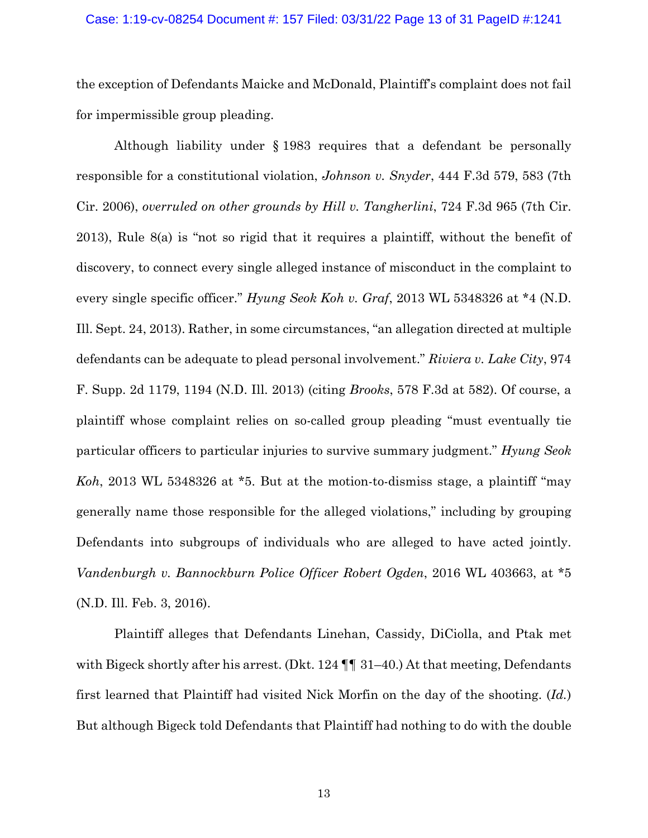## Case: 1:19-cv-08254 Document #: 157 Filed: 03/31/22 Page 13 of 31 PageID #:1241

the exception of Defendants Maicke and McDonald, Plaintiff's complaint does not fail for impermissible group pleading.

Although liability under § 1983 requires that a defendant be personally responsible for a constitutional violation, *Johnson v. Snyder*, 444 F.3d 579, 583 (7th Cir. 2006), *overruled on other grounds by Hill v. Tangherlini*, 724 F.3d 965 (7th Cir. 2013), Rule 8(a) is "not so rigid that it requires a plaintiff, without the benefit of discovery, to connect every single alleged instance of misconduct in the complaint to every single specific officer." *Hyung Seok Koh v. Graf*, 2013 WL 5348326 at \*4 (N.D. Ill. Sept. 24, 2013). Rather, in some circumstances, "an allegation directed at multiple defendants can be adequate to plead personal involvement." *Riviera v. Lake City*, 974 F. Supp. 2d 1179, 1194 (N.D. Ill. 2013) (citing *Brooks*, 578 F.3d at 582). Of course, a plaintiff whose complaint relies on so-called group pleading "must eventually tie particular officers to particular injuries to survive summary judgment." *Hyung Seok Koh*, 2013 WL 5348326 at \*5. But at the motion-to-dismiss stage, a plaintiff "may generally name those responsible for the alleged violations," including by grouping Defendants into subgroups of individuals who are alleged to have acted jointly. *Vandenburgh v. Bannockburn Police Officer Robert Ogden*, 2016 WL 403663, at \*5 (N.D. Ill. Feb. 3, 2016).

Plaintiff alleges that Defendants Linehan, Cassidy, DiCiolla, and Ptak met with Bigeck shortly after his arrest. (Dkt.  $124 \text{ }\mathbb{I} \text{ }\mathbb{I}$  31–40.) At that meeting, Defendants first learned that Plaintiff had visited Nick Morfin on the day of the shooting. (*Id.*) But although Bigeck told Defendants that Plaintiff had nothing to do with the double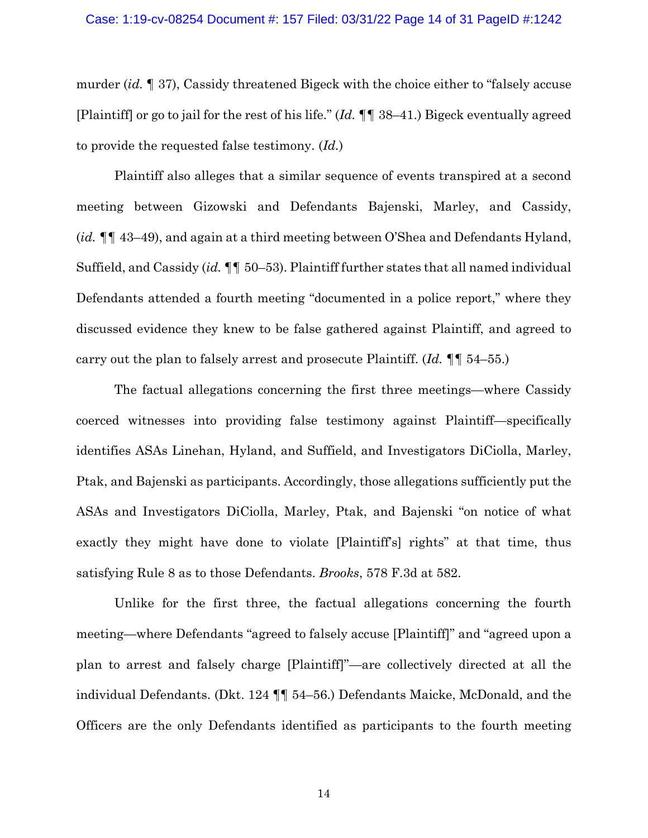murder (*id. ¶* 37), Cassidy threatened Bigeck with the choice either to "falsely accuse [Plaintiff] or go to jail for the rest of his life." (*Id. ¶¶* 38–41.) Bigeck eventually agreed to provide the requested false testimony. (*Id.*)

Plaintiff also alleges that a similar sequence of events transpired at a second meeting between Gizowski and Defendants Bajenski, Marley, and Cassidy, (*id. ¶¶* 43–49), and again at a third meeting between O'Shea and Defendants Hyland, Suffield, and Cassidy (*id. ¶¶* 50–53). Plaintiff further states that all named individual Defendants attended a fourth meeting "documented in a police report," where they discussed evidence they knew to be false gathered against Plaintiff, and agreed to carry out the plan to falsely arrest and prosecute Plaintiff. (*Id. ¶¶* 54–55.)

The factual allegations concerning the first three meetings—where Cassidy coerced witnesses into providing false testimony against Plaintiff—specifically identifies ASAs Linehan, Hyland, and Suffield, and Investigators DiCiolla, Marley, Ptak, and Bajenski as participants. Accordingly, those allegations sufficiently put the ASAs and Investigators DiCiolla, Marley, Ptak, and Bajenski "on notice of what exactly they might have done to violate [Plaintiff's] rights" at that time, thus satisfying Rule 8 as to those Defendants. *Brooks*, 578 F.3d at 582.

Unlike for the first three, the factual allegations concerning the fourth meeting—where Defendants "agreed to falsely accuse [Plaintiff]" and "agreed upon a plan to arrest and falsely charge [Plaintiff]"—are collectively directed at all the individual Defendants. (Dkt. 124 ¶¶ 54–56.) Defendants Maicke, McDonald, and the Officers are the only Defendants identified as participants to the fourth meeting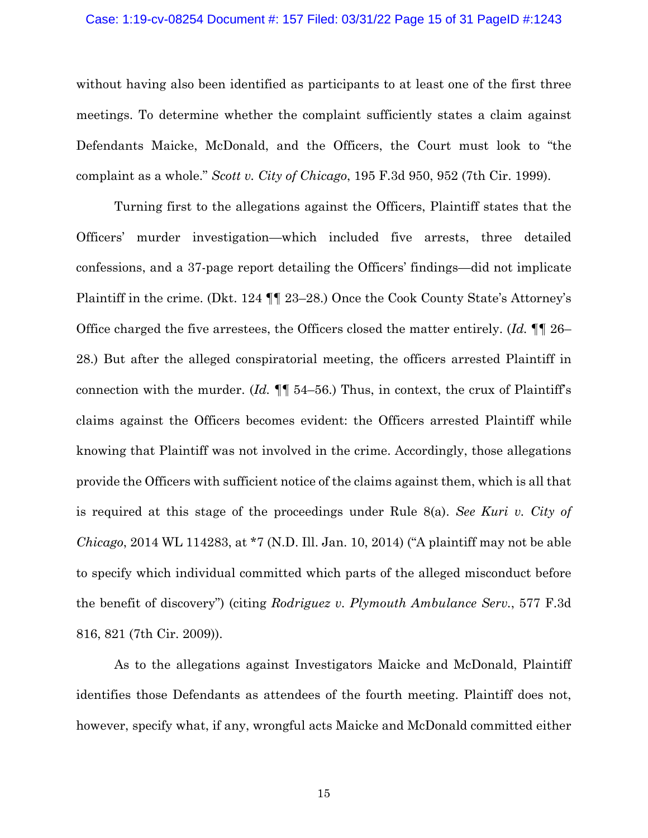#### Case: 1:19-cv-08254 Document #: 157 Filed: 03/31/22 Page 15 of 31 PageID #:1243

without having also been identified as participants to at least one of the first three meetings. To determine whether the complaint sufficiently states a claim against Defendants Maicke, McDonald, and the Officers, the Court must look to "the complaint as a whole." *Scott v. City of Chicago*, 195 F.3d 950, 952 (7th Cir. 1999).

Turning first to the allegations against the Officers, Plaintiff states that the Officers' murder investigation—which included five arrests, three detailed confessions, and a 37-page report detailing the Officers' findings—did not implicate Plaintiff in the crime. (Dkt. 124 ¶¶ 23–28.) Once the Cook County State's Attorney's Office charged the five arrestees, the Officers closed the matter entirely. (*Id.* ¶¶ 26– 28.) But after the alleged conspiratorial meeting, the officers arrested Plaintiff in connection with the murder. (*Id.* ¶¶ 54–56.) Thus, in context, the crux of Plaintiff's claims against the Officers becomes evident: the Officers arrested Plaintiff while knowing that Plaintiff was not involved in the crime. Accordingly, those allegations provide the Officers with sufficient notice of the claims against them, which is all that is required at this stage of the proceedings under Rule 8(a). *See Kuri v. City of Chicago*, 2014 WL 114283, at \*7 (N.D. Ill. Jan. 10, 2014) ("A plaintiff may not be able to specify which individual committed which parts of the alleged misconduct before the benefit of discovery") (citing *Rodriguez v. Plymouth Ambulance Serv.*, 577 F.3d 816, 821 (7th Cir. 2009)).

As to the allegations against Investigators Maicke and McDonald, Plaintiff identifies those Defendants as attendees of the fourth meeting. Plaintiff does not, however, specify what, if any, wrongful acts Maicke and McDonald committed either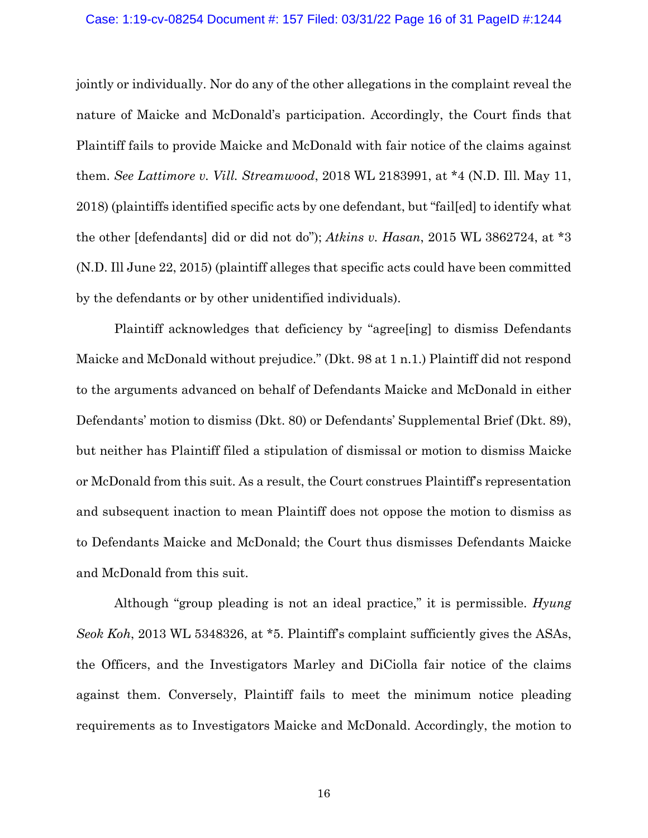#### Case: 1:19-cv-08254 Document #: 157 Filed: 03/31/22 Page 16 of 31 PageID #:1244

jointly or individually. Nor do any of the other allegations in the complaint reveal the nature of Maicke and McDonald's participation. Accordingly, the Court finds that Plaintiff fails to provide Maicke and McDonald with fair notice of the claims against them. *See Lattimore v. Vill. Streamwood*, 2018 WL 2183991, at \*4 (N.D. Ill. May 11, 2018) (plaintiffs identified specific acts by one defendant, but "fail[ed] to identify what the other [defendants] did or did not do"); *Atkins v. Hasan*, 2015 WL 3862724, at \*3 (N.D. Ill June 22, 2015) (plaintiff alleges that specific acts could have been committed by the defendants or by other unidentified individuals).

Plaintiff acknowledges that deficiency by "agree[ing] to dismiss Defendants Maicke and McDonald without prejudice." (Dkt. 98 at 1 n.1.) Plaintiff did not respond to the arguments advanced on behalf of Defendants Maicke and McDonald in either Defendants' motion to dismiss (Dkt. 80) or Defendants' Supplemental Brief (Dkt. 89), but neither has Plaintiff filed a stipulation of dismissal or motion to dismiss Maicke or McDonald from this suit. As a result, the Court construes Plaintiff's representation and subsequent inaction to mean Plaintiff does not oppose the motion to dismiss as to Defendants Maicke and McDonald; the Court thus dismisses Defendants Maicke and McDonald from this suit.

Although "group pleading is not an ideal practice," it is permissible. *Hyung Seok Koh*, 2013 WL 5348326, at \*5. Plaintiff's complaint sufficiently gives the ASAs, the Officers, and the Investigators Marley and DiCiolla fair notice of the claims against them. Conversely, Plaintiff fails to meet the minimum notice pleading requirements as to Investigators Maicke and McDonald. Accordingly, the motion to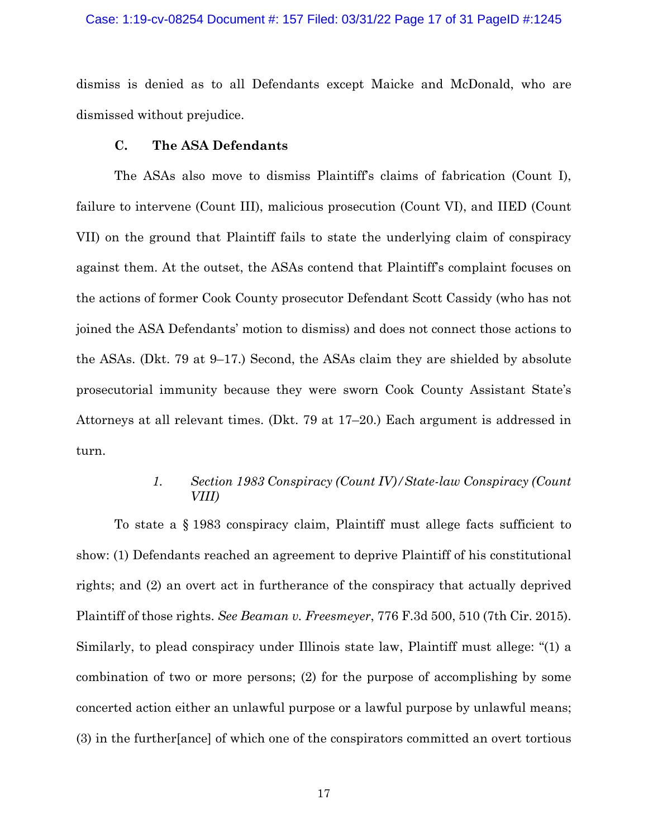## Case: 1:19-cv-08254 Document #: 157 Filed: 03/31/22 Page 17 of 31 PageID #:1245

dismiss is denied as to all Defendants except Maicke and McDonald, who are dismissed without prejudice.

## **C. The ASA Defendants**

The ASAs also move to dismiss Plaintiff's claims of fabrication (Count I), failure to intervene (Count III), malicious prosecution (Count VI), and IIED (Count VII) on the ground that Plaintiff fails to state the underlying claim of conspiracy against them. At the outset, the ASAs contend that Plaintiff's complaint focuses on the actions of former Cook County prosecutor Defendant Scott Cassidy (who has not joined the ASA Defendants' motion to dismiss) and does not connect those actions to the ASAs. (Dkt. 79 at 9–17.) Second, the ASAs claim they are shielded by absolute prosecutorial immunity because they were sworn Cook County Assistant State's Attorneys at all relevant times. (Dkt. 79 at 17–20.) Each argument is addressed in turn.

## *1. Section 1983 Conspiracy (Count IV)/State-law Conspiracy (Count VIII)*

To state a § 1983 conspiracy claim, Plaintiff must allege facts sufficient to show: (1) Defendants reached an agreement to deprive Plaintiff of his constitutional rights; and (2) an overt act in furtherance of the conspiracy that actually deprived Plaintiff of those rights. *See Beaman v. Freesmeyer*, 776 F.3d 500, 510 (7th Cir. 2015). Similarly, to plead conspiracy under Illinois state law, Plaintiff must allege: "(1) a combination of two or more persons; (2) for the purpose of accomplishing by some concerted action either an unlawful purpose or a lawful purpose by unlawful means; (3) in the further[ance] of which one of the conspirators committed an overt tortious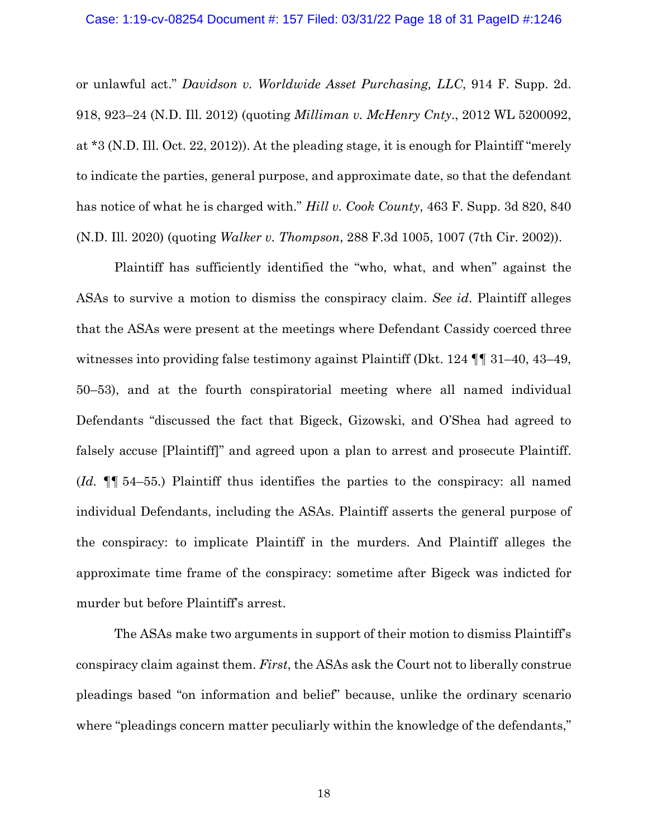or unlawful act." *Davidson v. Worldwide Asset Purchasing, LLC*, 914 F. Supp. 2d. 918, 923–24 (N.D. Ill. 2012) (quoting *Milliman v. McHenry Cnty*., 2012 WL 5200092, at \*3 (N.D. Ill. Oct. 22, 2012)). At the pleading stage, it is enough for Plaintiff "merely to indicate the parties, general purpose, and approximate date, so that the defendant has notice of what he is charged with." *Hill v. Cook County*, 463 F. Supp. 3d 820, 840 (N.D. Ill. 2020) (quoting *Walker v. Thompson*, 288 F.3d 1005, 1007 (7th Cir. 2002)).

Plaintiff has sufficiently identified the "who, what, and when" against the ASAs to survive a motion to dismiss the conspiracy claim. *See id*. Plaintiff alleges that the ASAs were present at the meetings where Defendant Cassidy coerced three witnesses into providing false testimony against Plaintiff (Dkt. 124 ¶¶ 31–40, 43–49, 50–53), and at the fourth conspiratorial meeting where all named individual Defendants "discussed the fact that Bigeck, Gizowski, and O'Shea had agreed to falsely accuse [Plaintiff]" and agreed upon a plan to arrest and prosecute Plaintiff. (*Id.* ¶¶ 54–55.) Plaintiff thus identifies the parties to the conspiracy: all named individual Defendants, including the ASAs. Plaintiff asserts the general purpose of the conspiracy: to implicate Plaintiff in the murders. And Plaintiff alleges the approximate time frame of the conspiracy: sometime after Bigeck was indicted for murder but before Plaintiff's arrest.

The ASAs make two arguments in support of their motion to dismiss Plaintiff's conspiracy claim against them. *First*, the ASAs ask the Court not to liberally construe pleadings based "on information and belief" because, unlike the ordinary scenario where "pleadings concern matter peculiarly within the knowledge of the defendants,"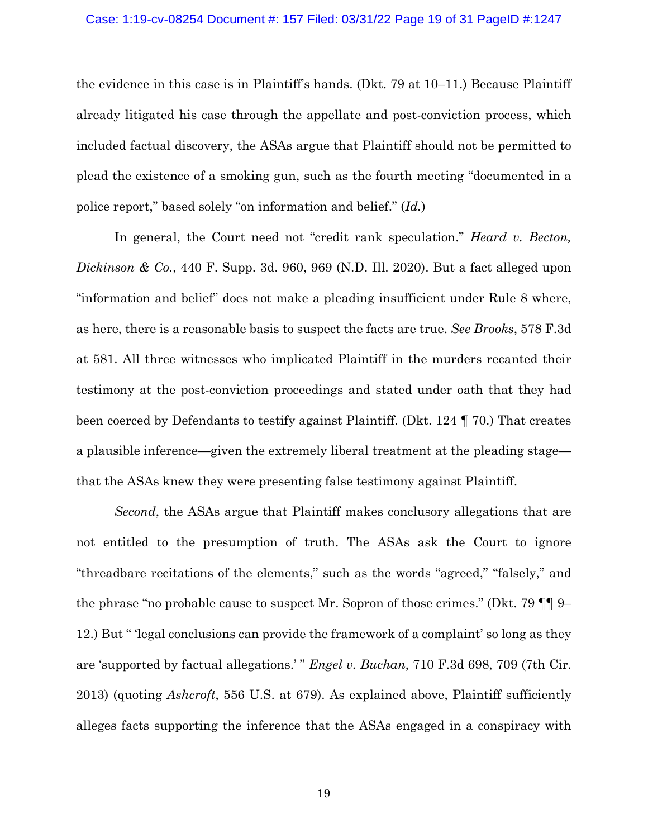## Case: 1:19-cv-08254 Document #: 157 Filed: 03/31/22 Page 19 of 31 PageID #:1247

the evidence in this case is in Plaintiff's hands. (Dkt. 79 at 10–11.) Because Plaintiff already litigated his case through the appellate and post-conviction process, which included factual discovery, the ASAs argue that Plaintiff should not be permitted to plead the existence of a smoking gun, such as the fourth meeting "documented in a police report," based solely "on information and belief." (*Id.*)

In general, the Court need not "credit rank speculation." *Heard v. Becton, Dickinson & Co.*, 440 F. Supp. 3d. 960, 969 (N.D. Ill. 2020). But a fact alleged upon "information and belief" does not make a pleading insufficient under Rule 8 where, as here, there is a reasonable basis to suspect the facts are true. *See Brooks*, 578 F.3d at 581. All three witnesses who implicated Plaintiff in the murders recanted their testimony at the post-conviction proceedings and stated under oath that they had been coerced by Defendants to testify against Plaintiff. (Dkt. 124 ¶ 70.) That creates a plausible inference—given the extremely liberal treatment at the pleading stage that the ASAs knew they were presenting false testimony against Plaintiff.

*Second*, the ASAs argue that Plaintiff makes conclusory allegations that are not entitled to the presumption of truth. The ASAs ask the Court to ignore "threadbare recitations of the elements," such as the words "agreed," "falsely," and the phrase "no probable cause to suspect Mr. Sopron of those crimes." (Dkt. 79 ¶¶ 9– 12.) But " 'legal conclusions can provide the framework of a complaint' so long as they are 'supported by factual allegations.' " *Engel v. Buchan*, 710 F.3d 698, 709 (7th Cir. 2013) (quoting *Ashcroft*, 556 U.S. at 679). As explained above, Plaintiff sufficiently alleges facts supporting the inference that the ASAs engaged in a conspiracy with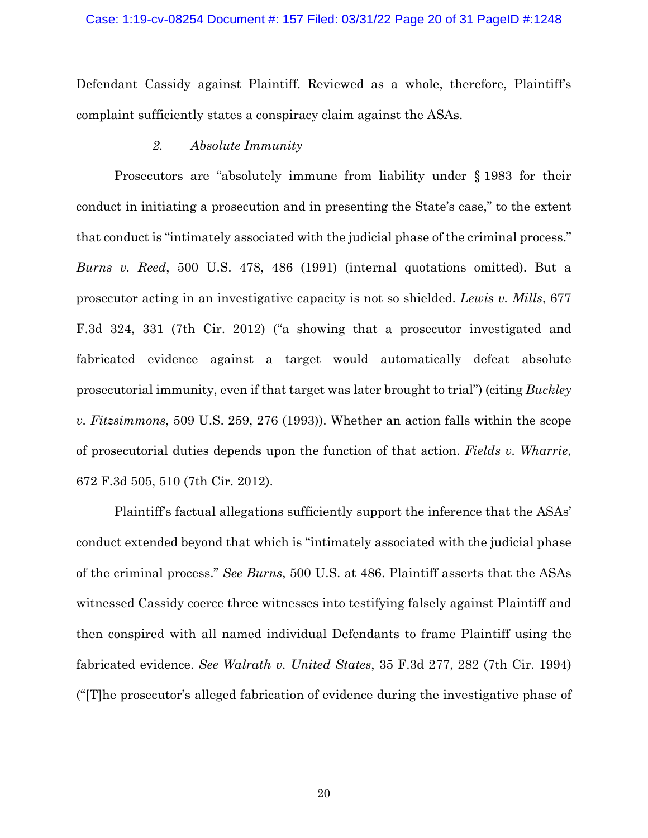#### Case: 1:19-cv-08254 Document #: 157 Filed: 03/31/22 Page 20 of 31 PageID #:1248

Defendant Cassidy against Plaintiff. Reviewed as a whole, therefore, Plaintiff's complaint sufficiently states a conspiracy claim against the ASAs.

## *2. Absolute Immunity*

Prosecutors are "absolutely immune from liability under § 1983 for their conduct in initiating a prosecution and in presenting the State's case," to the extent that conduct is "intimately associated with the judicial phase of the criminal process." *Burns v. Reed*, 500 U.S. 478, 486 (1991) (internal quotations omitted). But a prosecutor acting in an investigative capacity is not so shielded. *Lewis v. Mills*, 677 F.3d 324, 331 (7th Cir. 2012) ("a showing that a prosecutor investigated and fabricated evidence against a target would automatically defeat absolute prosecutorial immunity, even if that target was later brought to trial") (citing *Buckley v. Fitzsimmons*, 509 U.S. 259, 276 (1993)). Whether an action falls within the scope of prosecutorial duties depends upon the function of that action. *Fields v. Wharrie*, 672 F.3d 505, 510 (7th Cir. 2012).

Plaintiff's factual allegations sufficiently support the inference that the ASAs' conduct extended beyond that which is "intimately associated with the judicial phase of the criminal process." *See Burns*, 500 U.S. at 486. Plaintiff asserts that the ASAs witnessed Cassidy coerce three witnesses into testifying falsely against Plaintiff and then conspired with all named individual Defendants to frame Plaintiff using the fabricated evidence. *See Walrath v. United States*, 35 F.3d 277, 282 (7th Cir. 1994) ("[T]he prosecutor's alleged fabrication of evidence during the investigative phase of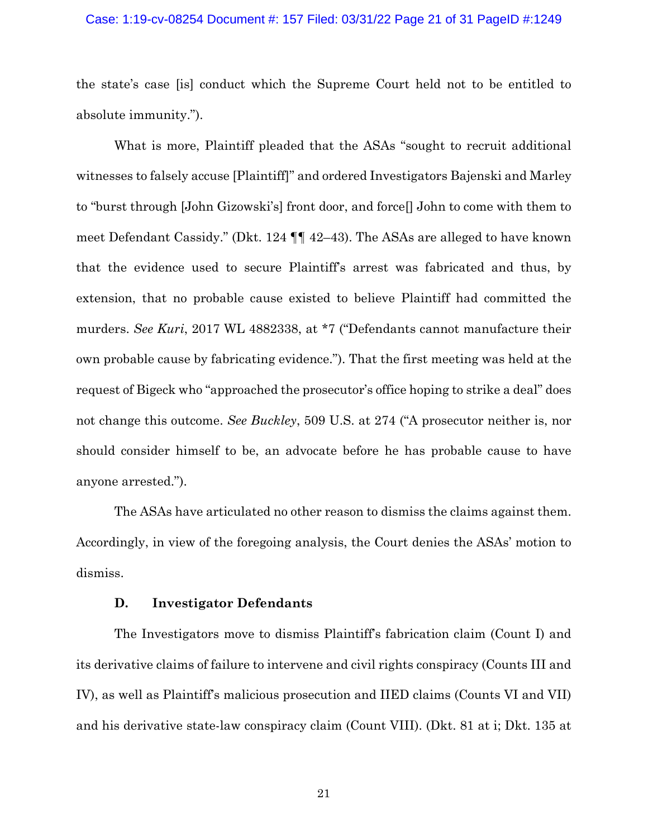#### Case: 1:19-cv-08254 Document #: 157 Filed: 03/31/22 Page 21 of 31 PageID #:1249

the state's case [is] conduct which the Supreme Court held not to be entitled to absolute immunity.").

What is more, Plaintiff pleaded that the ASAs "sought to recruit additional witnesses to falsely accuse [Plaintiff]" and ordered Investigators Bajenski and Marley to "burst through [John Gizowski's] front door, and force[] John to come with them to meet Defendant Cassidy." (Dkt. 124 ¶¶ 42–43). The ASAs are alleged to have known that the evidence used to secure Plaintiff's arrest was fabricated and thus, by extension, that no probable cause existed to believe Plaintiff had committed the murders. *See Kuri*, 2017 WL 4882338, at \*7 ("Defendants cannot manufacture their own probable cause by fabricating evidence."). That the first meeting was held at the request of Bigeck who "approached the prosecutor's office hoping to strike a deal" does not change this outcome. *See Buckley*, 509 U.S. at 274 ("A prosecutor neither is, nor should consider himself to be, an advocate before he has probable cause to have anyone arrested.").

The ASAs have articulated no other reason to dismiss the claims against them. Accordingly, in view of the foregoing analysis, the Court denies the ASAs' motion to dismiss.

#### **D. Investigator Defendants**

The Investigators move to dismiss Plaintiff's fabrication claim (Count I) and its derivative claims of failure to intervene and civil rights conspiracy (Counts III and IV), as well as Plaintiff's malicious prosecution and IIED claims (Counts VI and VII) and his derivative state-law conspiracy claim (Count VIII). (Dkt. 81 at i; Dkt. 135 at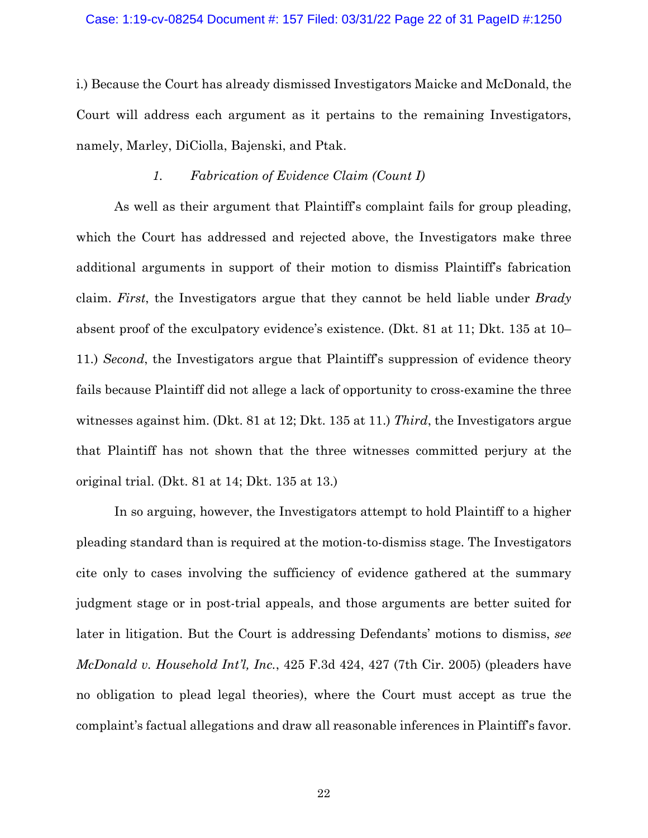#### Case: 1:19-cv-08254 Document #: 157 Filed: 03/31/22 Page 22 of 31 PageID #:1250

i.) Because the Court has already dismissed Investigators Maicke and McDonald, the Court will address each argument as it pertains to the remaining Investigators, namely, Marley, DiCiolla, Bajenski, and Ptak.

### *1. Fabrication of Evidence Claim (Count I)*

As well as their argument that Plaintiff's complaint fails for group pleading, which the Court has addressed and rejected above, the Investigators make three additional arguments in support of their motion to dismiss Plaintiff's fabrication claim. *First*, the Investigators argue that they cannot be held liable under *Brady* absent proof of the exculpatory evidence's existence. (Dkt. 81 at 11; Dkt. 135 at 10– 11.) *Second*, the Investigators argue that Plaintiff's suppression of evidence theory fails because Plaintiff did not allege a lack of opportunity to cross-examine the three witnesses against him. (Dkt. 81 at 12; Dkt. 135 at 11.) *Third*, the Investigators argue that Plaintiff has not shown that the three witnesses committed perjury at the original trial. (Dkt. 81 at 14; Dkt. 135 at 13.)

In so arguing, however, the Investigators attempt to hold Plaintiff to a higher pleading standard than is required at the motion-to-dismiss stage. The Investigators cite only to cases involving the sufficiency of evidence gathered at the summary judgment stage or in post-trial appeals, and those arguments are better suited for later in litigation. But the Court is addressing Defendants' motions to dismiss, *see McDonald v. Household Int'l, Inc.*, 425 F.3d 424, 427 (7th Cir. 2005) (pleaders have no obligation to plead legal theories), where the Court must accept as true the complaint's factual allegations and draw all reasonable inferences in Plaintiff's favor.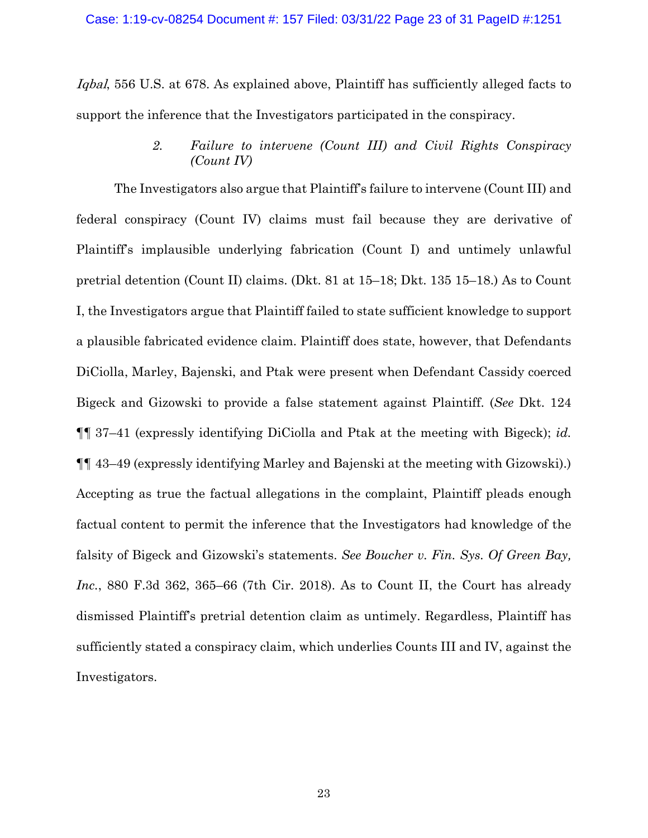Iqbal, 556 U.S. at 678. As explained above, Plaintiff has sufficiently alleged facts to support the inference that the Investigators participated in the conspiracy.

> *2. Failure to intervene (Count III) and Civil Rights Conspiracy (Count IV)*

The Investigators also argue that Plaintiff's failure to intervene (Count III) and federal conspiracy (Count IV) claims must fail because they are derivative of Plaintiff's implausible underlying fabrication (Count I) and untimely unlawful pretrial detention (Count II) claims. (Dkt. 81 at 15–18; Dkt. 135 15–18.) As to Count I, the Investigators argue that Plaintiff failed to state sufficient knowledge to support a plausible fabricated evidence claim. Plaintiff does state, however, that Defendants DiCiolla, Marley, Bajenski, and Ptak were present when Defendant Cassidy coerced Bigeck and Gizowski to provide a false statement against Plaintiff. (*See* Dkt. 124 ¶¶ 37–41 (expressly identifying DiCiolla and Ptak at the meeting with Bigeck); *id.* ¶¶ 43–49 (expressly identifying Marley and Bajenski at the meeting with Gizowski).) Accepting as true the factual allegations in the complaint, Plaintiff pleads enough factual content to permit the inference that the Investigators had knowledge of the falsity of Bigeck and Gizowski's statements. *See Boucher v. Fin. Sys. Of Green Bay, Inc.*, 880 F.3d 362, 365–66 (7th Cir. 2018). As to Count II, the Court has already dismissed Plaintiff's pretrial detention claim as untimely. Regardless, Plaintiff has sufficiently stated a conspiracy claim, which underlies Counts III and IV, against the Investigators.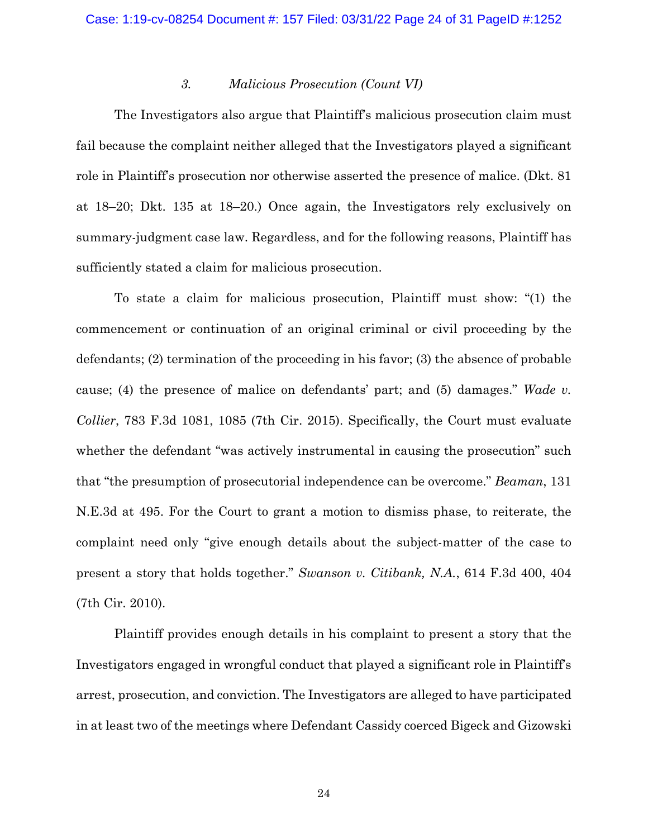### *3. Malicious Prosecution (Count VI)*

The Investigators also argue that Plaintiff's malicious prosecution claim must fail because the complaint neither alleged that the Investigators played a significant role in Plaintiff's prosecution nor otherwise asserted the presence of malice. (Dkt. 81 at 18–20; Dkt. 135 at 18–20.) Once again, the Investigators rely exclusively on summary-judgment case law. Regardless, and for the following reasons, Plaintiff has sufficiently stated a claim for malicious prosecution.

To state a claim for malicious prosecution, Plaintiff must show: "(1) the commencement or continuation of an original criminal or civil proceeding by the defendants; (2) termination of the proceeding in his favor; (3) the absence of probable cause; (4) the presence of malice on defendants' part; and (5) damages." *Wade v. Collier*, 783 F.3d 1081, 1085 (7th Cir. 2015). Specifically, the Court must evaluate whether the defendant "was actively instrumental in causing the prosecution" such that "the presumption of prosecutorial independence can be overcome." *Beaman*, 131 N.E.3d at 495. For the Court to grant a motion to dismiss phase, to reiterate, the complaint need only "give enough details about the subject-matter of the case to present a story that holds together." *Swanson v. Citibank, N.A.*, 614 F.3d 400, 404 (7th Cir. 2010).

Plaintiff provides enough details in his complaint to present a story that the Investigators engaged in wrongful conduct that played a significant role in Plaintiff's arrest, prosecution, and conviction. The Investigators are alleged to have participated in at least two of the meetings where Defendant Cassidy coerced Bigeck and Gizowski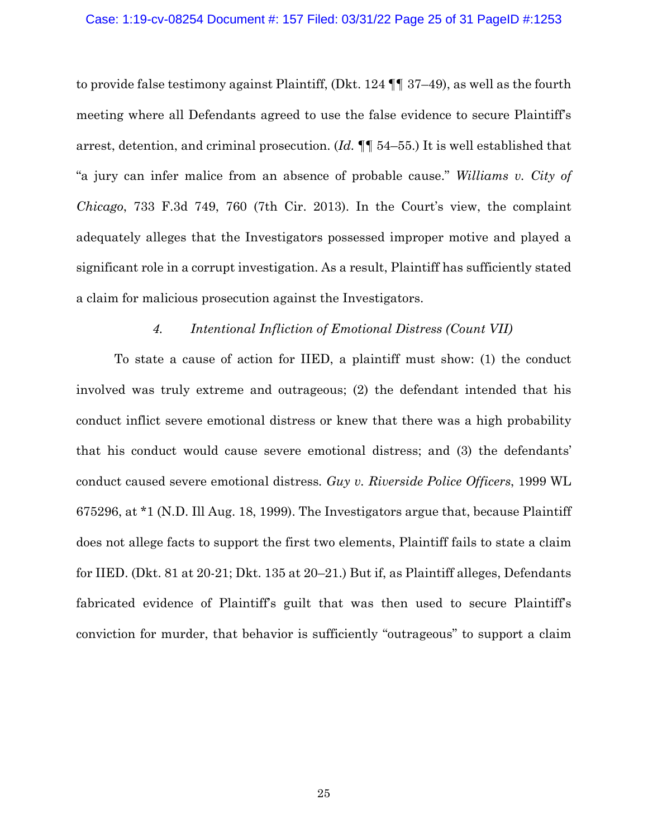#### Case: 1:19-cv-08254 Document #: 157 Filed: 03/31/22 Page 25 of 31 PageID #:1253

to provide false testimony against Plaintiff, (Dkt. 124 ¶¶ 37–49), as well as the fourth meeting where all Defendants agreed to use the false evidence to secure Plaintiff's arrest, detention, and criminal prosecution. (*Id.* ¶¶ 54–55.) It is well established that "a jury can infer malice from an absence of probable cause." *Williams v. City of Chicago*, 733 F.3d 749, 760 (7th Cir. 2013). In the Court's view, the complaint adequately alleges that the Investigators possessed improper motive and played a significant role in a corrupt investigation. As a result, Plaintiff has sufficiently stated a claim for malicious prosecution against the Investigators.

### *4. Intentional Infliction of Emotional Distress (Count VII)*

To state a cause of action for IIED, a plaintiff must show: (1) the conduct involved was truly extreme and outrageous; (2) the defendant intended that his conduct inflict severe emotional distress or knew that there was a high probability that his conduct would cause severe emotional distress; and (3) the defendants' conduct caused severe emotional distress*. Guy v. Riverside Police Officers*, 1999 WL 675296, at \*1 (N.D. Ill Aug. 18, 1999). The Investigators argue that, because Plaintiff does not allege facts to support the first two elements, Plaintiff fails to state a claim for IIED. (Dkt. 81 at 20-21; Dkt. 135 at 20–21.) But if, as Plaintiff alleges, Defendants fabricated evidence of Plaintiff's guilt that was then used to secure Plaintiff's conviction for murder, that behavior is sufficiently "outrageous" to support a claim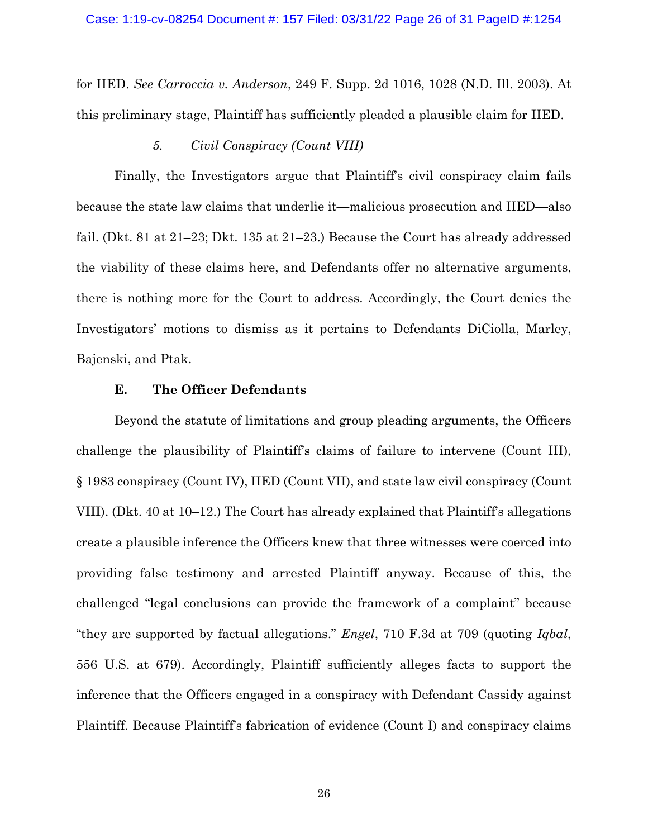for IIED. *See Carroccia v. Anderson*, 249 F. Supp. 2d 1016, 1028 (N.D. Ill. 2003). At this preliminary stage, Plaintiff has sufficiently pleaded a plausible claim for IIED.

## *5. Civil Conspiracy (Count VIII)*

Finally, the Investigators argue that Plaintiff's civil conspiracy claim fails because the state law claims that underlie it—malicious prosecution and IIED—also fail. (Dkt. 81 at 21–23; Dkt. 135 at 21–23.) Because the Court has already addressed the viability of these claims here, and Defendants offer no alternative arguments, there is nothing more for the Court to address. Accordingly, the Court denies the Investigators' motions to dismiss as it pertains to Defendants DiCiolla, Marley, Bajenski, and Ptak.

## **E. The Officer Defendants**

Beyond the statute of limitations and group pleading arguments, the Officers challenge the plausibility of Plaintiff's claims of failure to intervene (Count III), § 1983 conspiracy (Count IV), IIED (Count VII), and state law civil conspiracy (Count VIII). (Dkt. 40 at 10–12.) The Court has already explained that Plaintiff's allegations create a plausible inference the Officers knew that three witnesses were coerced into providing false testimony and arrested Plaintiff anyway. Because of this, the challenged "legal conclusions can provide the framework of a complaint" because "they are supported by factual allegations." *Engel*, 710 F.3d at 709 (quoting *Iqbal*, 556 U.S. at 679). Accordingly, Plaintiff sufficiently alleges facts to support the inference that the Officers engaged in a conspiracy with Defendant Cassidy against Plaintiff. Because Plaintiff's fabrication of evidence (Count I) and conspiracy claims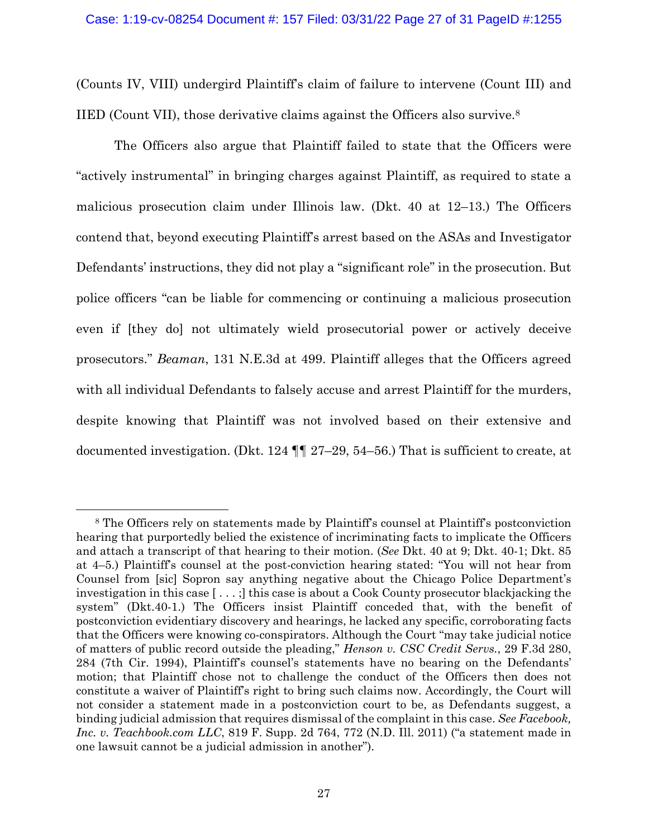(Counts IV, VIII) undergird Plaintiff's claim of failure to intervene (Count III) and IIED (Count VII), those derivative claims against the Officers also survive.8

The Officers also argue that Plaintiff failed to state that the Officers were "actively instrumental" in bringing charges against Plaintiff, as required to state a malicious prosecution claim under Illinois law. (Dkt. 40 at 12–13.) The Officers contend that, beyond executing Plaintiff's arrest based on the ASAs and Investigator Defendants' instructions, they did not play a "significant role" in the prosecution. But police officers "can be liable for commencing or continuing a malicious prosecution even if [they do] not ultimately wield prosecutorial power or actively deceive prosecutors." *Beaman*, 131 N.E.3d at 499. Plaintiff alleges that the Officers agreed with all individual Defendants to falsely accuse and arrest Plaintiff for the murders, despite knowing that Plaintiff was not involved based on their extensive and documented investigation. (Dkt. 124 ¶¶ 27–29, 54–56.) That is sufficient to create, at

<sup>8</sup> The Officers rely on statements made by Plaintiff's counsel at Plaintiff's postconviction hearing that purportedly belied the existence of incriminating facts to implicate the Officers and attach a transcript of that hearing to their motion. (*See* Dkt. 40 at 9; Dkt. 40-1; Dkt. 85 at 4–5.) Plaintiff's counsel at the post-conviction hearing stated: "You will not hear from Counsel from [sic] Sopron say anything negative about the Chicago Police Department's investigation in this case [ . . . ;] this case is about a Cook County prosecutor blackjacking the system" (Dkt.40-1.) The Officers insist Plaintiff conceded that, with the benefit of postconviction evidentiary discovery and hearings, he lacked any specific, corroborating facts that the Officers were knowing co-conspirators. Although the Court "may take judicial notice of matters of public record outside the pleading," *Henson v. CSC Credit Servs.*, 29 F.3d 280, 284 (7th Cir. 1994), Plaintiff's counsel's statements have no bearing on the Defendants' motion; that Plaintiff chose not to challenge the conduct of the Officers then does not constitute a waiver of Plaintiff's right to bring such claims now. Accordingly, the Court will not consider a statement made in a postconviction court to be, as Defendants suggest, a binding judicial admission that requires dismissal of the complaint in this case. *See Facebook, Inc. v. Teachbook.com LLC*, 819 F. Supp. 2d 764, 772 (N.D. Ill. 2011) ("a statement made in one lawsuit cannot be a judicial admission in another").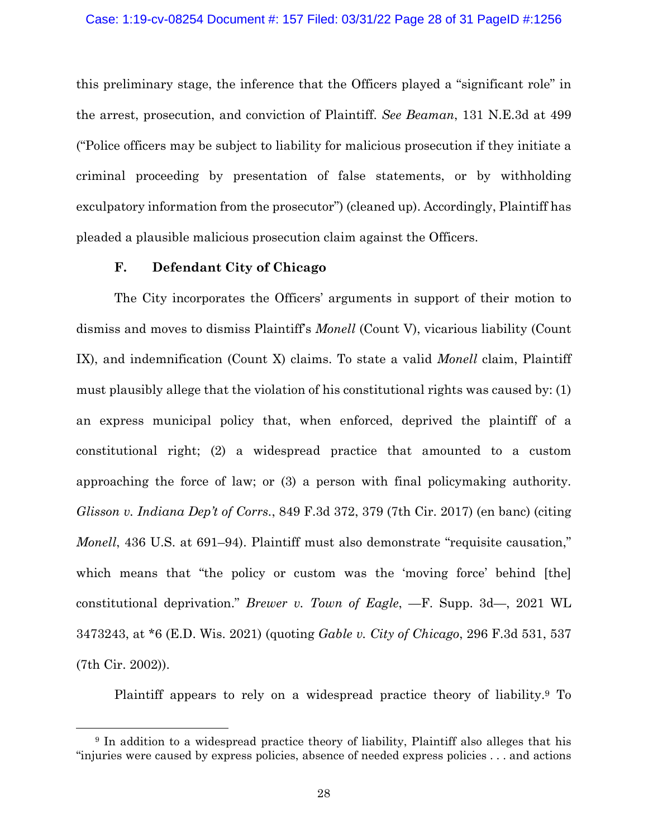this preliminary stage, the inference that the Officers played a "significant role" in the arrest, prosecution, and conviction of Plaintiff. *See Beaman*, 131 N.E.3d at 499 ("Police officers may be subject to liability for malicious prosecution if they initiate a criminal proceeding by presentation of false statements, or by withholding exculpatory information from the prosecutor") (cleaned up). Accordingly, Plaintiff has pleaded a plausible malicious prosecution claim against the Officers.

## **F. Defendant City of Chicago**

The City incorporates the Officers' arguments in support of their motion to dismiss and moves to dismiss Plaintiff's *Monell* (Count V), vicarious liability (Count IX), and indemnification (Count X) claims. To state a valid *Monell* claim, Plaintiff must plausibly allege that the violation of his constitutional rights was caused by: (1) an express municipal policy that, when enforced, deprived the plaintiff of a constitutional right; (2) a widespread practice that amounted to a custom approaching the force of law; or (3) a person with final policymaking authority. *Glisson v. Indiana Dep't of Corrs.*, 849 F.3d 372, 379 (7th Cir. 2017) (en banc) (citing *Monell*, 436 U.S. at 691–94). Plaintiff must also demonstrate "requisite causation," which means that "the policy or custom was the 'moving force' behind [the] constitutional deprivation." *Brewer v. Town of Eagle*, —F. Supp. 3d—, 2021 WL 3473243, at \*6 (E.D. Wis. 2021) (quoting *Gable v. City of Chicago*, 296 F.3d 531, 537 (7th Cir. 2002)).

Plaintiff appears to rely on a widespread practice theory of liability.9 To

<sup>9</sup> In addition to a widespread practice theory of liability, Plaintiff also alleges that his "injuries were caused by express policies, absence of needed express policies . . . and actions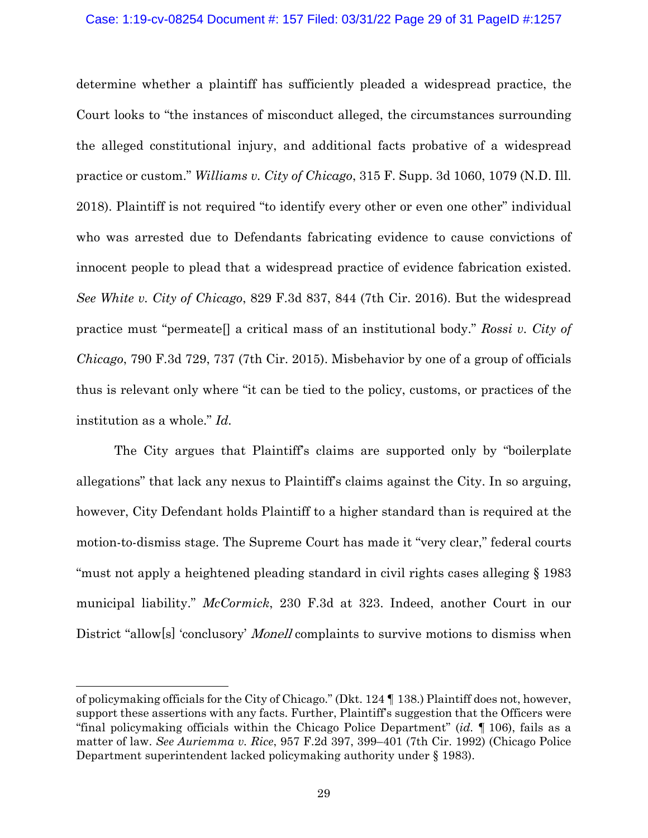## Case: 1:19-cv-08254 Document #: 157 Filed: 03/31/22 Page 29 of 31 PageID #:1257

determine whether a plaintiff has sufficiently pleaded a widespread practice, the Court looks to "the instances of misconduct alleged, the circumstances surrounding the alleged constitutional injury, and additional facts probative of a widespread practice or custom." *Williams v. City of Chicago*, 315 F. Supp. 3d 1060, 1079 (N.D. Ill. 2018). Plaintiff is not required "to identify every other or even one other" individual who was arrested due to Defendants fabricating evidence to cause convictions of innocent people to plead that a widespread practice of evidence fabrication existed. *See White v. City of Chicago*, 829 F.3d 837, 844 (7th Cir. 2016). But the widespread practice must "permeate[] a critical mass of an institutional body." *Rossi v. City of Chicago*, 790 F.3d 729, 737 (7th Cir. 2015). Misbehavior by one of a group of officials thus is relevant only where "it can be tied to the policy, customs, or practices of the institution as a whole." *Id.*

The City argues that Plaintiff's claims are supported only by "boilerplate allegations" that lack any nexus to Plaintiff's claims against the City. In so arguing, however, City Defendant holds Plaintiff to a higher standard than is required at the motion-to-dismiss stage. The Supreme Court has made it "very clear," federal courts "must not apply a heightened pleading standard in civil rights cases alleging § 1983 municipal liability." *McCormick*, 230 F.3d at 323. Indeed, another Court in our District "allow[s] 'conclusory' *Monell* complaints to survive motions to dismiss when

of policymaking officials for the City of Chicago." (Dkt. 124 ¶ 138.) Plaintiff does not, however, support these assertions with any facts. Further, Plaintiff's suggestion that the Officers were "final policymaking officials within the Chicago Police Department" (*id.* ¶ 106), fails as a matter of law. *See Auriemma v. Rice*, 957 F.2d 397, 399–401 (7th Cir. 1992) (Chicago Police Department superintendent lacked policymaking authority under § 1983).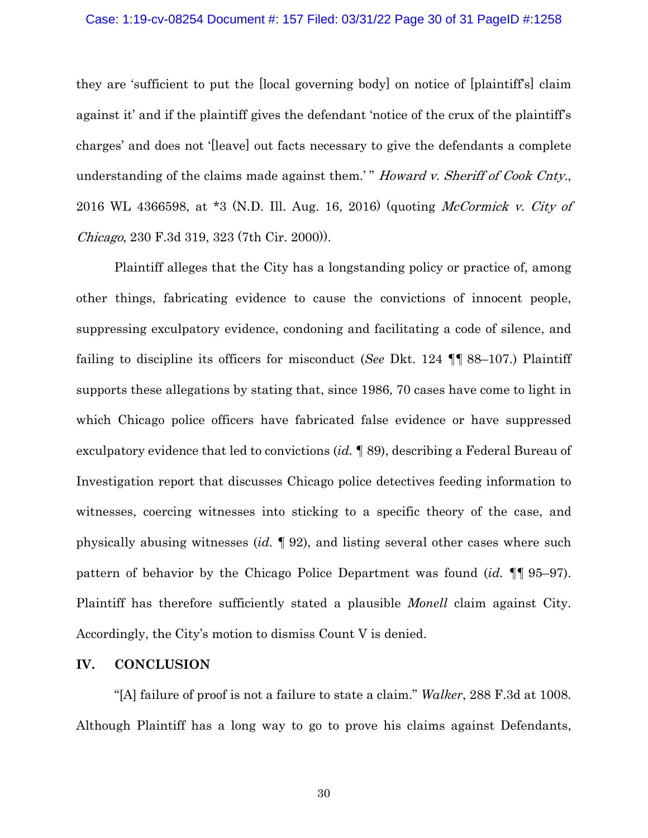#### Case: 1:19-cv-08254 Document #: 157 Filed: 03/31/22 Page 30 of 31 PageID #:1258

they are 'sufficient to put the [local governing body] on notice of [plaintiff's] claim against it' and if the plaintiff gives the defendant 'notice of the crux of the plaintiff's charges' and does not '[leave] out facts necessary to give the defendants a complete understanding of the claims made against them.' " Howard v. Sheriff of Cook Cnty., 2016 WL 4366598, at \*3 (N.D. Ill. Aug. 16, 2016) (quoting McCormick v. City of Chicago, 230 F.3d 319, 323 (7th Cir. 2000)).

Plaintiff alleges that the City has a longstanding policy or practice of, among other things, fabricating evidence to cause the convictions of innocent people, suppressing exculpatory evidence, condoning and facilitating a code of silence, and failing to discipline its officers for misconduct (*See* Dkt. 124 ¶¶ 88–107.) Plaintiff supports these allegations by stating that, since 1986, 70 cases have come to light in which Chicago police officers have fabricated false evidence or have suppressed exculpatory evidence that led to convictions (*id.* ¶ 89), describing a Federal Bureau of Investigation report that discusses Chicago police detectives feeding information to witnesses, coercing witnesses into sticking to a specific theory of the case, and physically abusing witnesses (*id.* ¶ 92), and listing several other cases where such pattern of behavior by the Chicago Police Department was found (*id.* ¶¶ 95–97). Plaintiff has therefore sufficiently stated a plausible *Monell* claim against City. Accordingly, the City's motion to dismiss Count V is denied.

### **IV. CONCLUSION**

"[A] failure of proof is not a failure to state a claim." *Walker*, 288 F.3d at 1008. Although Plaintiff has a long way to go to prove his claims against Defendants,